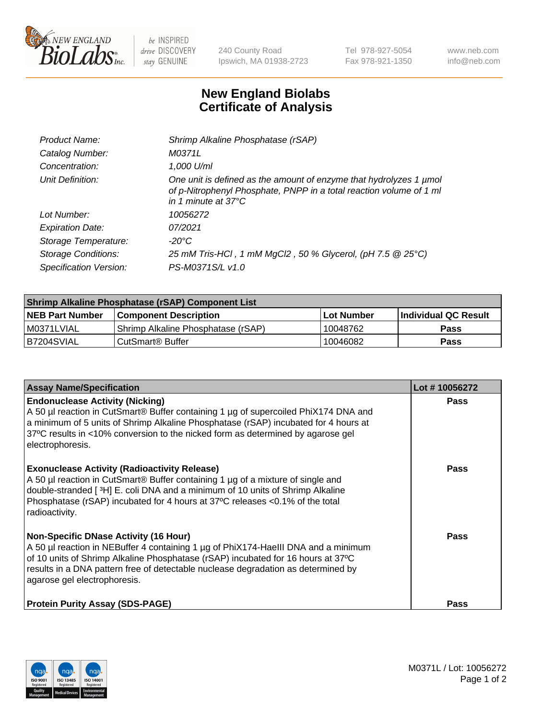

 $be$  INSPIRED drive DISCOVERY stay GENUINE

240 County Road Ipswich, MA 01938-2723 Tel 978-927-5054 Fax 978-921-1350 www.neb.com info@neb.com

## **New England Biolabs Certificate of Analysis**

| Product Name:              | Shrimp Alkaline Phosphatase (rSAP)                                                                                                                                         |
|----------------------------|----------------------------------------------------------------------------------------------------------------------------------------------------------------------------|
| Catalog Number:            | M0371L                                                                                                                                                                     |
| Concentration:             | 1,000 U/ml                                                                                                                                                                 |
| Unit Definition:           | One unit is defined as the amount of enzyme that hydrolyzes 1 µmol<br>of p-Nitrophenyl Phosphate, PNPP in a total reaction volume of 1 ml<br>in 1 minute at $37^{\circ}$ C |
| Lot Number:                | 10056272                                                                                                                                                                   |
| <b>Expiration Date:</b>    | 07/2021                                                                                                                                                                    |
| Storage Temperature:       | $-20^{\circ}$ C                                                                                                                                                            |
| <b>Storage Conditions:</b> | 25 mM Tris-HCl, 1 mM MgCl2, 50 % Glycerol, (pH 7.5 @ 25°C)                                                                                                                 |
| Specification Version:     | PS-M0371S/L v1.0                                                                                                                                                           |

| Shrimp Alkaline Phosphatase (rSAP) Component List |                                    |             |                      |  |  |
|---------------------------------------------------|------------------------------------|-------------|----------------------|--|--|
| <b>NEB Part Number</b>                            | <b>Component Description</b>       | ∣Lot Number | Individual QC Result |  |  |
| I M0371LVIAL                                      | Shrimp Alkaline Phosphatase (rSAP) | 10048762    | Pass                 |  |  |
| B7204SVIAL                                        | l CutSmart® Buffer                 | 10046082    | Pass                 |  |  |

| <b>Assay Name/Specification</b>                                                                                                                                                                                                                                                                                                             | Lot #10056272 |
|---------------------------------------------------------------------------------------------------------------------------------------------------------------------------------------------------------------------------------------------------------------------------------------------------------------------------------------------|---------------|
| <b>Endonuclease Activity (Nicking)</b><br>A 50 µl reaction in CutSmart® Buffer containing 1 µg of supercoiled PhiX174 DNA and<br>a minimum of 5 units of Shrimp Alkaline Phosphatase (rSAP) incubated for 4 hours at<br>37°C results in <10% conversion to the nicked form as determined by agarose gel<br>electrophoresis.                 | <b>Pass</b>   |
| <b>Exonuclease Activity (Radioactivity Release)</b><br>A 50 µl reaction in CutSmart® Buffer containing 1 µg of a mixture of single and<br>double-stranded [3H] E. coli DNA and a minimum of 10 units of Shrimp Alkaline<br>Phosphatase (rSAP) incubated for 4 hours at 37°C releases <0.1% of the total<br>radioactivity.                   | <b>Pass</b>   |
| <b>Non-Specific DNase Activity (16 Hour)</b><br>A 50 µl reaction in NEBuffer 4 containing 1 µg of PhiX174-HaellI DNA and a minimum<br>of 10 units of Shrimp Alkaline Phosphatase (rSAP) incubated for 16 hours at 37°C<br>results in a DNA pattern free of detectable nuclease degradation as determined by<br>agarose gel electrophoresis. | Pass          |
| <b>Protein Purity Assay (SDS-PAGE)</b>                                                                                                                                                                                                                                                                                                      | <b>Pass</b>   |